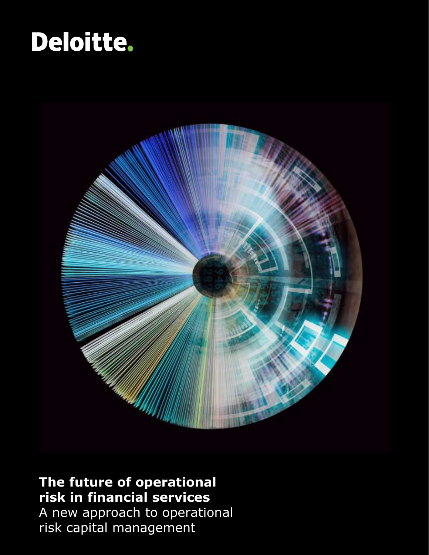



#### **The future of operational risk in financial services**

A new approach to operational risk capital management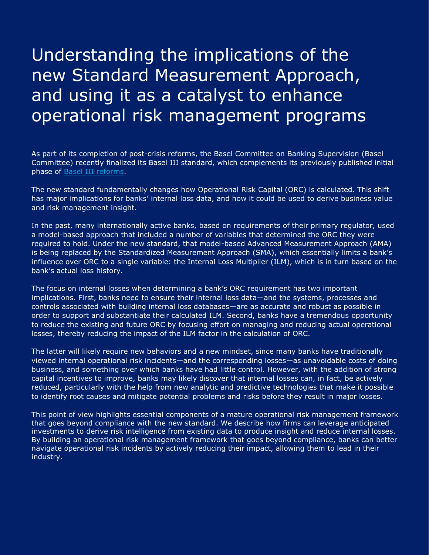### Understanding the implications of the new Standard Measurement Approach, and using it as a catalyst to enhance operational risk management programs

As part of its completion of post-crisis reforms, the Basel Committee on Banking Supervision (Basel Committee) recently finalized its Basel III standard, which complements its previously published initial phase of **Basel III** reforms.

The new standard fundamentally changes how Operational Risk Capital (ORC) is calculated. This shift has major implications for banks' internal loss data, and how it could be used to derive business value and risk management insight.

In the past, many internationally active banks, based on requirements of their primary regulator, used a model-based approach that included a number of variables that determined the ORC they were required to hold. Under the new standard, that model-based Advanced Measurement Approach (AMA) is being replaced by the Standardized Measurement Approach (SMA), which essentially limits a bank's influence over ORC to a single variable: the Internal Loss Multiplier (ILM), which is in turn based on the bank's actual loss history.

The focus on internal losses when determining a bank's ORC requirement has two important implications. First, banks need to ensure their internal loss data—and the systems, processes and controls associated with building internal loss databases—are as accurate and robust as possible in order to support and substantiate their calculated ILM. Second, banks have a tremendous opportunity to reduce the existing and future ORC by focusing effort on managing and reducing actual operational losses, thereby reducing the impact of the ILM factor in the calculation of ORC.

The latter will likely require new behaviors and a new mindset, since many banks have traditionally viewed internal operational risk incidents—and the corresponding losses—as unavoidable costs of doing business, and something over which banks have had little control. However, with the addition of strong capital incentives to improve, banks may likely discover that internal losses can, in fact, be actively reduced, particularly with the help from new analytic and predictive technologies that make it possible to identify root causes and mitigate potential problems and risks before they result in major losses.

This point of view highlights essential components of a mature operational risk management framework that goes beyond compliance with the new standard. We describe how firms can leverage anticipated investments to derive risk intelligence from existing data to produce insight and reduce internal losses. By building an operational risk management framework that goes beyond compliance, banks can better navigate operational risk incidents by actively reducing their impact, allowing them to lead in their industry.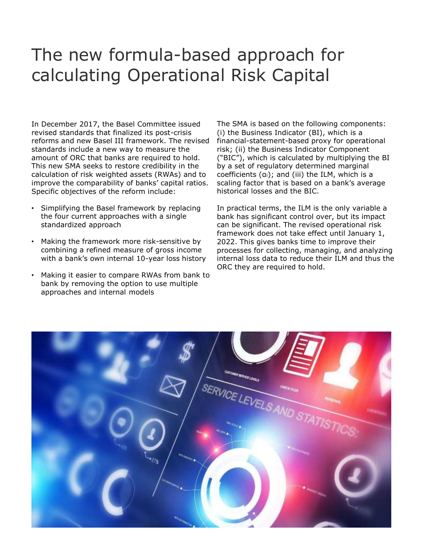#### The new formula-based approach for calculating Operational Risk Capital

In December 2017, the Basel Committee issued revised standards that finalized its post-crisis reforms and new Basel III framework. The revised standards include a new way to measure the amount of ORC that banks are required to hold. This new SMA seeks to restore credibility in the calculation of risk weighted assets (RWAs) and to improve the comparability of banks' capital ratios. Specific objectives of the reform include:

- Simplifying the Basel framework by replacing the four current approaches with a single standardized approach
- Making the framework more risk-sensitive by combining a refined measure of gross income with a bank's own internal 10-year loss history
- Making it easier to compare RWAs from bank to bank by removing the option to use multiple approaches and internal models

The SMA is based on the following components: (i) the Business Indicator (BI), which is a financial-statement-based proxy for operational risk; (ii) the Business Indicator Component ("BIC"), which is calculated by multiplying the BI by a set of regulatory determined marginal coefficients (αi); and (iii) the ILM, which is a scaling factor that is based on a bank's average historical losses and the BIC.

In practical terms, the ILM is the only variable a bank has significant control over, but its impact can be significant. The revised operational risk framework does not take effect until January 1, 2022. This gives banks time to improve their processes for collecting, managing, and analyzing internal loss data to reduce their ILM and thus the ORC they are required to hold.

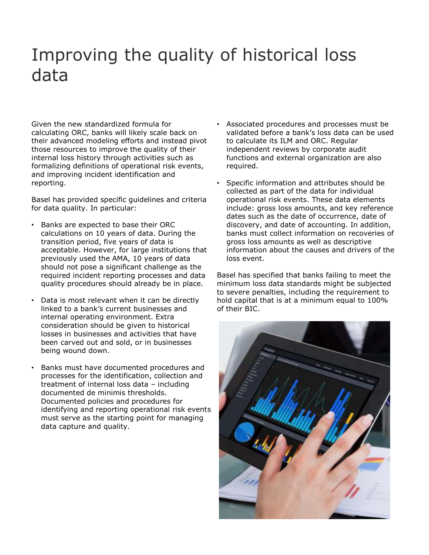### Improving the quality of historical loss data

Given the new standardized formula for calculating ORC, banks will likely scale back on their advanced modeling efforts and instead pivot those resources to improve the quality of their internal loss history through activities such as formalizing definitions of operational risk events, and improving incident identification and reporting.

Basel has provided specific guidelines and criteria for data quality. In particular:

- Banks are expected to base their ORC calculations on 10 years of data. During the transition period, five years of data is acceptable. However, for large institutions that previously used the AMA, 10 years of data should not pose a significant challenge as the required incident reporting processes and data quality procedures should already be in place.
- Data is most relevant when it can be directly linked to a bank's current businesses and internal operating environment. Extra consideration should be given to historical losses in businesses and activities that have been carved out and sold, or in businesses being wound down.
- Banks must have documented procedures and processes for the identification, collection and treatment of internal loss data – including documented de minimis thresholds. Documented policies and procedures for identifying and reporting operational risk events must serve as the starting point for managing data capture and quality.
- Associated procedures and processes must be validated before a bank's loss data can be used to calculate its ILM and ORC. Regular independent reviews by corporate audit functions and external organization are also required.
- Specific information and attributes should be collected as part of the data for individual operational risk events. These data elements include: gross loss amounts, and key reference dates such as the date of occurrence, date of discovery, and date of accounting. In addition, banks must collect information on recoveries of gross loss amounts as well as descriptive information about the causes and drivers of the loss event.

Basel has specified that banks failing to meet the minimum loss data standards might be subjected to severe penalties, including the requirement to hold capital that is at a minimum equal to 100% of their BIC.

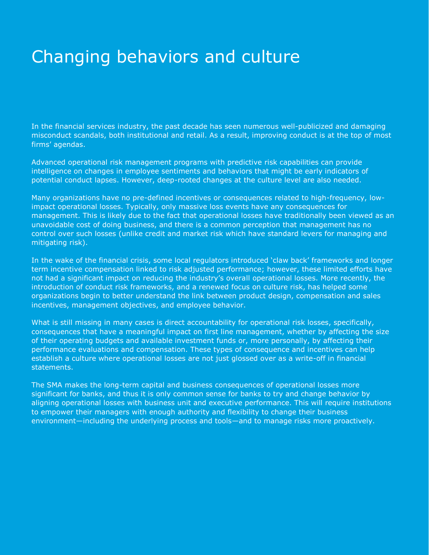### Changing behaviors and culture

In the financial services industry, the past decade has seen numerous well-publicized and damaging misconduct scandals, both institutional and retail. As a result, improving conduct is at the top of most firms' agendas.

Advanced operational risk management programs with predictive risk capabilities can provide intelligence on changes in employee sentiments and behaviors that might be early indicators of potential conduct lapses. However, deep-rooted changes at the culture level are also needed.

Many organizations have no pre-defined incentives or consequences related to high-frequency, lowimpact operational losses. Typically, only massive loss events have any consequences for management. This is likely due to the fact that operational losses have traditionally been viewed as an unavoidable cost of doing business, and there is a common perception that management has no control over such losses (unlike credit and market risk which have standard levers for managing and mitigating risk).

In the wake of the financial crisis, some local regulators introduced 'claw back' frameworks and longer term incentive compensation linked to risk adjusted performance; however, these limited efforts have not had a significant impact on reducing the industry's overall operational losses. More recently, the introduction of conduct risk frameworks, and a renewed focus on culture risk, has helped some organizations begin to better understand the link between product design, compensation and sales incentives, management objectives, and employee behavior.

What is still missing in many cases is direct accountability for operational risk losses, specifically, consequences that have a meaningful impact on first line management, whether by affecting the size of their operating budgets and available investment funds or, more personally, by affecting their performance evaluations and compensation. These types of consequence and incentives can help establish a culture where operational losses are not just glossed over as a write-off in financial statements.

The SMA makes the long-term capital and business consequences of operational losses more significant for banks, and thus it is only common sense for banks to try and change behavior by aligning operational losses with business unit and executive performance. This will require institutions to empower their managers with enough authority and flexibility to change their business environment—including the underlying process and tools—and to manage risks more proactively.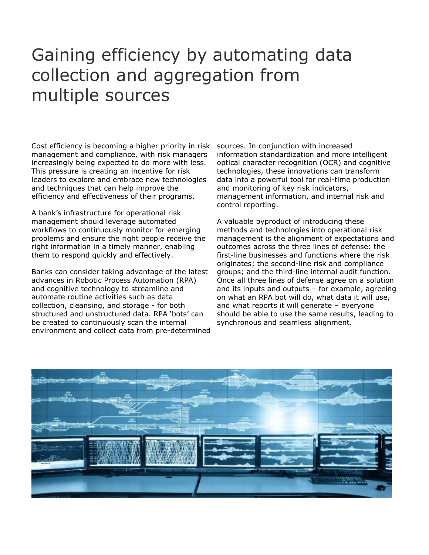### Gaining efficiency by automating data collection and aggregation from multiple sources

Cost efficiency is becoming a higher priority in risk management and compliance, with risk managers increasingly being expected to do more with less. This pressure is creating an incentive for risk leaders to explore and embrace new technologies and techniques that can help improve the efficiency and effectiveness of their programs.

A bank's infrastructure for operational risk management should leverage automated workflows to continuously monitor for emerging problems and ensure the right people receive the right information in a timely manner, enabling them to respond quickly and effectively.

Banks can consider taking advantage of the latest advances in Robotic Process Automation (RPA) and cognitive technology to streamline and automate routine activities such as data collection, cleansing, and storage - for both structured and unstructured data. RPA 'bots' can be created to continuously scan the internal environment and collect data from pre-determined sources. In conjunction with increased information standardization and more intelligent optical character recognition (OCR) and cognitive technologies, these innovations can transform data into a powerful tool for real-time production and monitoring of key risk indicators, management information, and internal risk and control reporting.

A valuable byproduct of introducing these methods and technologies into operational risk management is the alignment of expectations and outcomes across the three lines of defense: the first-line businesses and functions where the risk originates; the second-line risk and compliance groups; and the third-line internal audit function. Once all three lines of defense agree on a solution and its inputs and outputs – for example, agreeing on what an RPA bot will do, what data it will use, and what reports it will generate – everyone should be able to use the same results, leading to synchronous and seamless alignment.

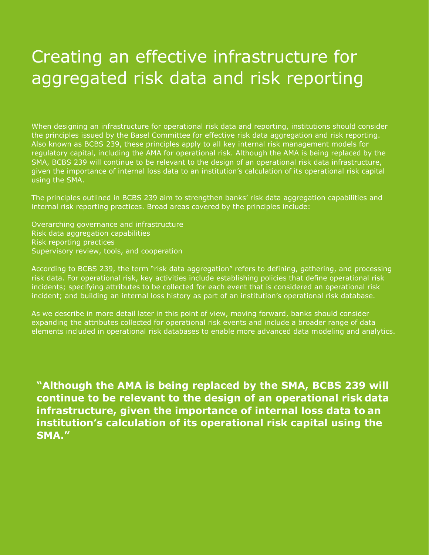### Creating an effective infrastructure for aggregated risk data and risk reporting

When designing an infrastructure for operational risk data and reporting, institutions should consider the principles issued by the Basel Committee for effective risk data aggregation and risk reporting. Also known as BCBS 239, these principles apply to all key internal risk management models for regulatory capital, including the AMA for operational risk. Although the AMA is being replaced by the SMA, BCBS 239 will continue to be relevant to the design of an operational risk data infrastructure, given the importance of internal loss data to an institution's calculation of its operational risk capital using the SMA.

The principles outlined in BCBS 239 aim to strengthen banks' risk data aggregation capabilities and internal risk reporting practices. Broad areas covered by the principles include:

Overarching governance and infrastructure Risk data aggregation capabilities Risk reporting practices Supervisory review, tools, and cooperation

According to BCBS 239, the term "risk data aggregation" refers to defining, gathering, and processing risk data. For operational risk, key activities include establishing policies that define operational risk incidents; specifying attributes to be collected for each event that is considered an operational risk incident; and building an internal loss history as part of an institution's operational risk database.

As we describe in more detail later in this point of view, moving forward, banks should consider expanding the attributes collected for operational risk events and include a broader range of data elements included in operational risk databases to enable more advanced data modeling and analytics.

**"Although the AMA is being replaced by the SMA, BCBS 239 will continue to be relevant to the design of an operational risk data infrastructure, given the importance of internal loss data to an institution's calculation of its operational risk capital using the SMA."**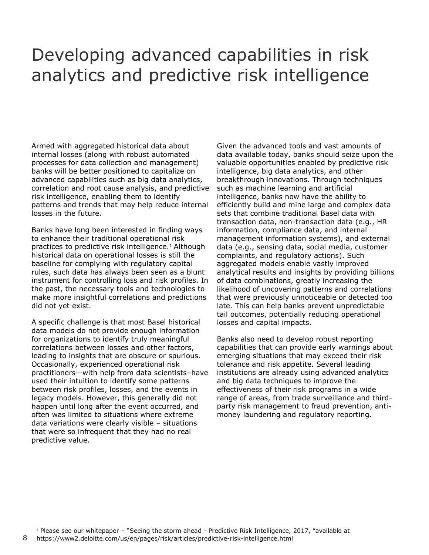#### Developing advanced capabilities in risk analytics and predictive risk intelligence

Armed with aggregated historical data about internal losses (along with robust automated processes for data collection and management) banks will be better positioned to capitalize on advanced capabilities such as big data analytics, correlation and root cause analysis, and predictive risk intelligence, enabling them to identify patterns and trends that may help reduce internal losses in the future.

Banks have long been interested in finding ways to enhance their traditional operational risk practices to predictive risk intelligence.<sup>1</sup> Although historical data on operational losses is still the baseline for complying with regulatory capital rules, such data has always been seen as a blunt instrument for controlling loss and risk profiles. In the past, the necessary tools and technologies to make more insightful correlations and predictions did not yet exist.

A specific challenge is that most Basel historical data models do not provide enough information for organizations to identify truly meaningful correlations between losses and other factors, leading to insights that are obscure or spurious. Occasionally, experienced operational risk practitioners—with help from data scientists–have used their intuition to identify some patterns between risk profiles, losses, and the events in legacy models. However, this generally did not happen until long after the event occurred, and often was limited to situations where extreme data variations were clearly visible – situations that were so infrequent that they had no real predictive value.

Given the advanced tools and vast amounts of data available today, banks should seize upon the valuable opportunities enabled by predictive risk intelligence, big data analytics, and other breakthrough innovations. Through techniques such as machine learning and artificial intelligence, banks now have the ability to efficiently build and mine large and complex data sets that combine traditional Basel data with transaction data, non-transaction data (e.g., HR information, compliance data, and internal management information systems), and external data (e.g., sensing data, social media, customer complaints, and regulatory actions). Such aggregated models enable vastly improved analytical results and insights by providing billions of data combinations, greatly increasing the likelihood of uncovering patterns and correlations that were previously unnoticeable or detected too late. This can help banks prevent unpredictable tail outcomes, potentially reducing operational losses and capital impacts.

Banks also need to develop robust reporting capabilities that can provide early warnings about emerging situations that may exceed their risk tolerance and risk appetite. Several leading institutions are already using advanced analytics and big data techniques to improve the effectiveness of their risk programs in a wide range of areas, from trade surveillance and thirdparty risk management to fraud prevention, antimoney laundering and regulatory reporting.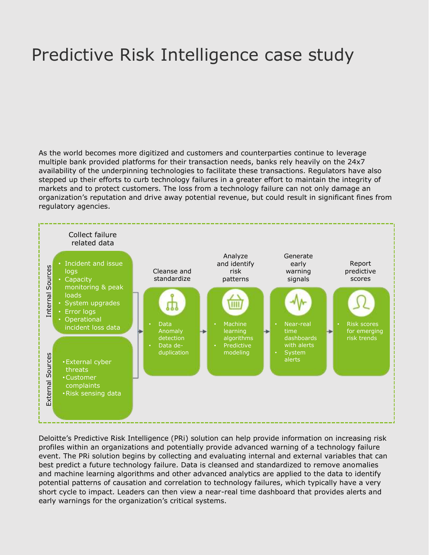### Predictive Risk Intelligence case study

As the world becomes more digitized and customers and counterparties continue to leverage multiple bank provided platforms for their transaction needs, banks rely heavily on the 24x7 availability of the underpinning technologies to facilitate these transactions. Regulators have also stepped up their efforts to curb technology failures in a greater effort to maintain the integrity of markets and to protect customers. The loss from a technology failure can not only damage an organization's reputation and drive away potential revenue, but could result in significant fines from regulatory agencies.



Deloitte's Predictive Risk Intelligence (PRi) solution can help provide information on increasing risk profiles within an organizations and potentially provide advanced warning of a technology failure event. The PRi solution begins by collecting and evaluating internal and external variables that can best predict a future technology failure. Data is cleansed and standardized to remove anomalies and machine learning algorithms and other advanced analytics are applied to the data to identify potential patterns of causation and correlation to technology failures, which typically have a very short cycle to impact. Leaders can then view a near-real time dashboard that provides alerts and early warnings for the organization's critical systems.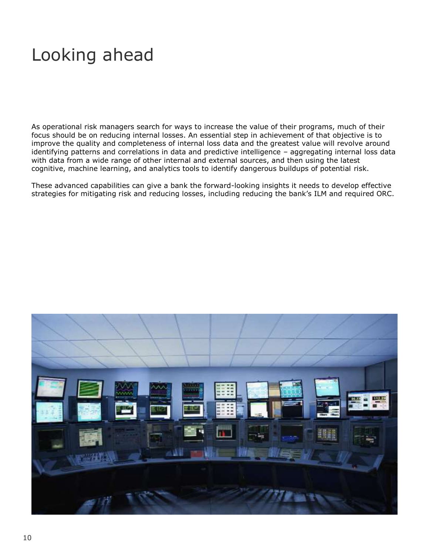### Looking ahead

As operational risk managers search for ways to increase the value of their programs, much of their focus should be on reducing internal losses. An essential step in achievement of that objective is to improve the quality and completeness of internal loss data and the greatest value will revolve around identifying patterns and correlations in data and predictive intelligence – aggregating internal loss data with data from a wide range of other internal and external sources, and then using the latest cognitive, machine learning, and analytics tools to identify dangerous buildups of potential risk.

These advanced capabilities can give a bank the forward-looking insights it needs to develop effective strategies for mitigating risk and reducing losses, including reducing the bank's ILM and required ORC.

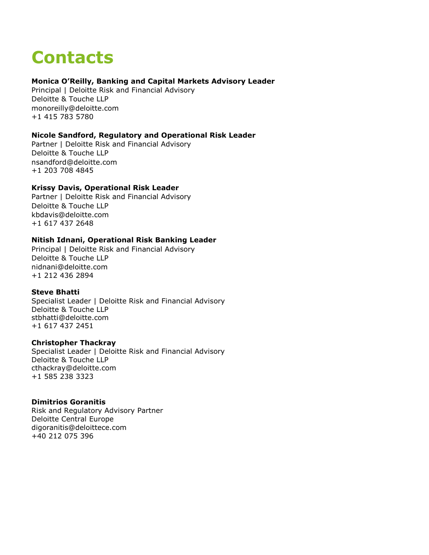## **Contacts**

#### **Monica O'Reilly, Banking and Capital Markets Advisory Leader**

Principal | Deloitte Risk and Financial Advisory Deloitte & Touche LLP [monoreilly@deloitte.com](mailto:monoreilly@deloitte.com) +1 415 783 5780

#### **Nicole Sandford, Regulatory and Operational Risk Leader**

Partner | Deloitte Risk and Financial Advisory Deloitte & Touche LLP [nsandford@deloitte.com](mailto:nsandford@deloitte.com) +1 203 708 4845

#### **Krissy Davis, Operational Risk Leader**

Partner | Deloitte Risk and Financial Advisory Deloitte & Touche LLP [kbdavis@deloitte.com](mailto:kbdavis@deloitte.com) +1 617 437 2648

#### **Nitish Idnani, Operational Risk Banking Leader**

Principal | Deloitte Risk and Financial Advisory Deloitte & Touche LLP [nidnani@deloitte.com](mailto:nidnani@deloitte.com) +1 212 436 2894

#### **Steve Bhatti**

Specialist Leader | Deloitte Risk and Financial Advisory Deloitte & Touche LLP [stbhatti@deloitte.com](mailto:stbhatti@deloitte.com) +1 617 437 2451

#### **Christopher Thackray**

Specialist Leader | Deloitte Risk and Financial Advisory Deloitte & Touche LLP [cthackray@deloitte.com](mailto:cthackray@deloitte.com) +1 585 238 3323

#### **Dimitrios Goranitis**

Risk and Regulatory Advisory Partner Deloitte Central Europe digoranitis@deloittece.com +40 212 075 396